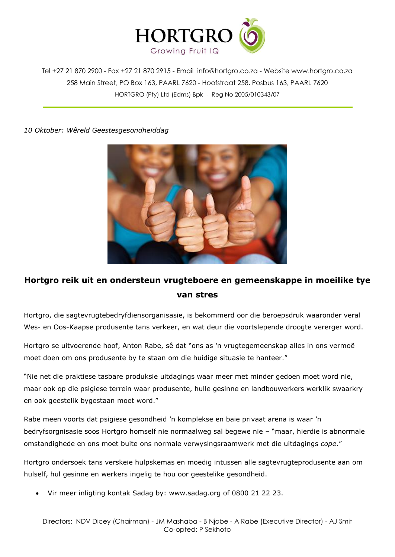

Tel +27 21 870 2900 - Fax +27 21 870 2915 - Email [info@hortgro.co.za](mailto:info@hortgro.co.za) - Website www.hortgro.co.za 258 Main Street, PO Box 163, PAARL 7620 - Hoofstraat 258, Posbus 163, PAARL 7620 HORTGRO (Pty) Ltd (Edms) Bpk - Reg No 2005/010343/07

*10 Oktober: Wêreld Geestesgesondheiddag*



## **Hortgro reik uit en ondersteun vrugteboere en gemeenskappe in moeilike tye van stres**

Hortgro, die sagtevrugtebedryfdiensorganisasie, is bekommerd oor die beroepsdruk waaronder veral Wes- en Oos-Kaapse produsente tans verkeer, en wat deur die voortslepende droogte vererger word.

Hortgro se uitvoerende hoof, Anton Rabe, sê dat "ons as 'n vrugtegemeenskap alles in ons vermoë moet doen om ons produsente by te staan om die huidige situasie te hanteer."

"Nie net die praktiese tasbare produksie uitdagings waar meer met minder gedoen moet word nie, maar ook op die psigiese terrein waar produsente, hulle gesinne en landbouwerkers werklik swaarkry en ook geestelik bygestaan moet word."

Rabe meen voorts dat psigiese gesondheid 'n komplekse en baie privaat arena is waar 'n bedryfsorgnisasie soos Hortgro homself nie normaalweg sal begewe nie – "maar, hierdie is abnormale omstandighede en ons moet buite ons normale verwysingsraamwerk met die uitdagings *cope*."

Hortgro ondersoek tans verskeie hulpskemas en moedig intussen alle sagtevrugteprodusente aan om hulself, hul gesinne en werkers ingelig te hou oor geestelike gesondheid.

Vir meer inligting kontak Sadag by: [www.sadag.org](http://www.sadag.org/) of 0800 21 22 23.